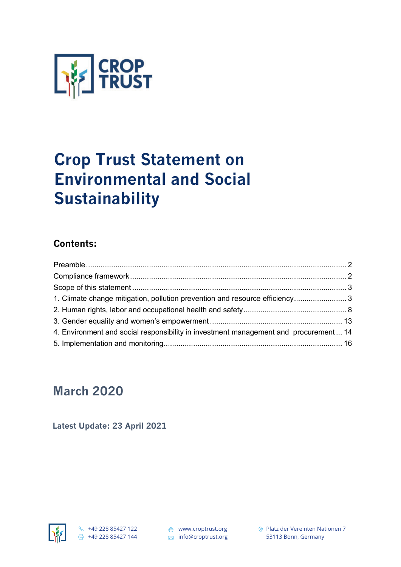

# **Crop Trust Statement on Environmental and Social Sustainability**

# **Contents:**

| 1. Climate change mitigation, pollution prevention and resource efficiency 3         |  |
|--------------------------------------------------------------------------------------|--|
|                                                                                      |  |
|                                                                                      |  |
| 4. Environment and social responsibility in investment management and procurement 14 |  |
|                                                                                      |  |

# **March 2020**

**Latest Update: 23 April 2021**



Platz der Vereinten Nationen 7 53113 Bonn, Germany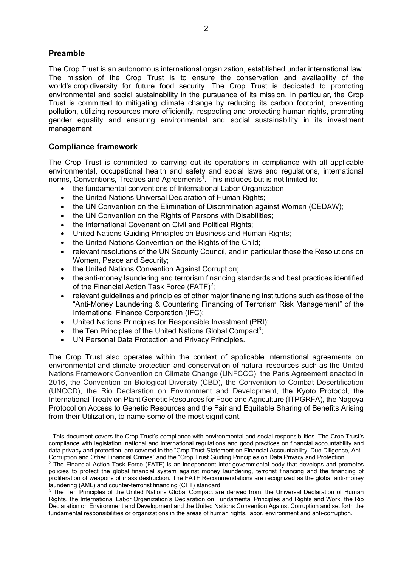# **Preamble**

 $\overline{a}$ 

The Crop Trust is an autonomous international organization, established under international law. The mission of the Crop Trust is to ensure the conservation and availability of the world's crop diversity for future food security. The Crop Trust is dedicated to promoting environmental and social sustainability in the pursuance of its mission. In particular, the Crop Trust is committed to mitigating climate change by reducing its carbon footprint, preventing pollution, utilizing resources more efficiently, respecting and protecting human rights, promoting gender equality and ensuring environmental and social sustainability in its investment management.

# **Compliance framework**

The Crop Trust is committed to carrying out its operations in compliance with all applicable environmental, occupational health and safety and social laws and regulations, international norms, Conventions, Treaties and Agreements<sup>1</sup>. This includes but is not limited to:

- the fundamental conventions of International Labor Organization;
- the United Nations Universal Declaration of Human Rights:
- the UN Convention on the Elimination of Discrimination against Women (CEDAW);
- the UN Convention on the Rights of Persons with Disabilities;
- the International Covenant on Civil and Political Rights;
- United Nations Guiding Principles on Business and Human Rights;
- the United Nations Convention on the Rights of the Child;
- relevant resolutions of the UN Security Council, and in particular those the Resolutions on Women, Peace and Security;
- the United Nations Convention Against Corruption;
- the anti-money laundering and terrorism financing standards and best practices identified of the Financial Action Task Force (FATF)<sup>2</sup>;
- relevant guidelines and principles of other major financing institutions such as those of the "Anti-Money Laundering & Countering Financing of Terrorism Risk Management" of the International Finance Corporation (IFC);
- United Nations Principles for Responsible Investment (PRI);
- $\bullet$  the Ten Principles of the United Nations Global Compact<sup>3</sup>;
- UN Personal Data Protection and Privacy Principles.

The Crop Trust also operates within the context of applicable international agreements on environmental and climate protection and conservation of natural resources such as the United Nations Framework Convention on Climate Change (UNFCCC), the Paris Agreement enacted in 2016, the Convention on Biological Diversity (CBD), the Convention to Combat Desertification (UNCCD), the Rio Declaration on Environment and Development, the Kyoto Protocol, the International Treaty on Plant Genetic Resources for Food and Agriculture (ITPGRFA), the Nagoya Protocol on Access to Genetic Resources and the Fair and Equitable Sharing of Benefits Arising from their Utilization, to name some of the most significant.

<sup>1</sup> This document covers the Crop Trust's compliance with environmental and social responsibilities. The Crop Trust's compliance with legislation, national and international regulations and good practices on financial accountability and data privacy and protection, are covered in the "Crop Trust Statement on Financial Accountability, Due Diligence, Anti-Corruption and Other Financial Crimes" and the "Crop Trust Guiding Principles on Data Privacy and Protection".

<sup>&</sup>lt;sup>2</sup> The Financial Action Task Force (FATF) is an independent inter-governmental body that develops and promotes policies to protect the global financial system against money laundering, terrorist financing and the financing of proliferation of weapons of mass destruction. The FATF Recommendations are recognized as the global anti-money laundering (AML) and counter-terrorist financing (CFT) standard.

<sup>&</sup>lt;sup>3</sup> The Ten Principles of the United Nations Global Compact are derived from: the Universal Declaration of Human Rights, the International Labor Organization's Declaration on Fundamental Principles and Rights and Work, the Rio Declaration on Environment and Development and the United Nations Convention Against Corruption and set forth the fundamental responsibilities or organizations in the areas of human rights, labor, environment and anti-corruption.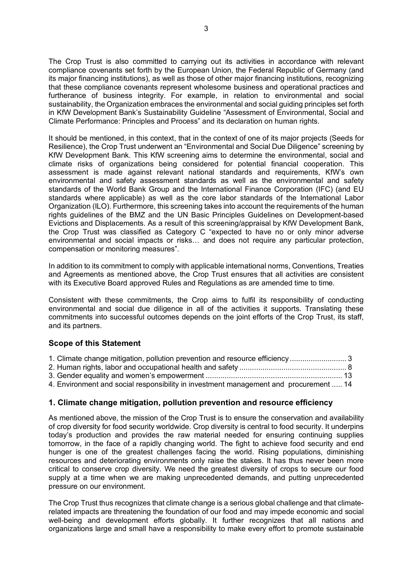The Crop Trust is also committed to carrying out its activities in accordance with relevant compliance covenants set forth by the European Union, the Federal Republic of Germany (and its major financing institutions), as well as those of other major financing institutions, recognizing that these compliance covenants represent wholesome business and operational practices and furtherance of business integrity. For example, in relation to environmental and social sustainability, the Organization embraces the environmental and social guiding principles set forth in KfW Development Bank's Sustainability Guideline "Assessment of Environmental, Social and Climate Performance: Principles and Process" and its declaration on human rights.

It should be mentioned, in this context, that in the context of one of its major projects (Seeds for Resilience), the Crop Trust underwent an "Environmental and Social Due Diligence" screening by KfW Development Bank. This KfW screening aims to determine the environmental, social and climate risks of organizations being considered for potential financial cooperation. This assessment is made against relevant national standards and requirements, KfW's own environmental and safety assessment standards as well as the environmental and safety standards of the World Bank Group and the International Finance Corporation (IFC) (and EU standards where applicable) as well as the core labor standards of the International Labor Organization (ILO). Furthermore, this screening takes into account the requirements of the human rights guidelines of the BMZ and the UN Basic Principles Guidelines on Development-based Evictions and Displacements. As a result of this screening/appraisal by KfW Development Bank, the Crop Trust was classified as Category C "expected to have no or only minor adverse environmental and social impacts or risks… and does not require any particular protection, compensation or monitoring measures".

In addition to its commitment to comply with applicable international norms, Conventions, Treaties and Agreements as mentioned above, the Crop Trust ensures that all activities are consistent with its Executive Board approved Rules and Regulations as are amended time to time.

Consistent with these commitments, the Crop aims to fulfil its responsibility of conducting environmental and social due diligence in all of the activities it supports. Translating these commitments into successful outcomes depends on the joint efforts of the Crop Trust, its staff, and its partners.

# **Scope of this Statement**

| 1. Climate change mitigation, pollution prevention and resource efficiency 3 |  |
|------------------------------------------------------------------------------|--|
|                                                                              |  |
|                                                                              |  |
|                                                                              |  |

4. Environment and social responsibility in investment management and procurement ..... 14

# **1. Climate change mitigation, pollution prevention and resource efficiency**

As mentioned above, the mission of the Crop Trust is to ensure the conservation and availability of crop diversity for food security worldwide. Crop diversity is central to food security. It underpins today's production and provides the raw material needed for ensuring continuing supplies tomorrow, in the face of a rapidly changing world. The fight to achieve food security and end hunger is one of the greatest challenges facing the world. Rising populations, diminishing resources and deteriorating environments only raise the stakes. It has thus never been more critical to conserve crop diversity. We need the greatest diversity of crops to secure our food supply at a time when we are making unprecedented demands, and putting unprecedented pressure on our environment.

The Crop Trust thus recognizes that climate change is a serious global challenge and that climaterelated impacts are threatening the foundation of our food and may impede economic and social well-being and development efforts globally. It further recognizes that all nations and organizations large and small have a responsibility to make every effort to promote sustainable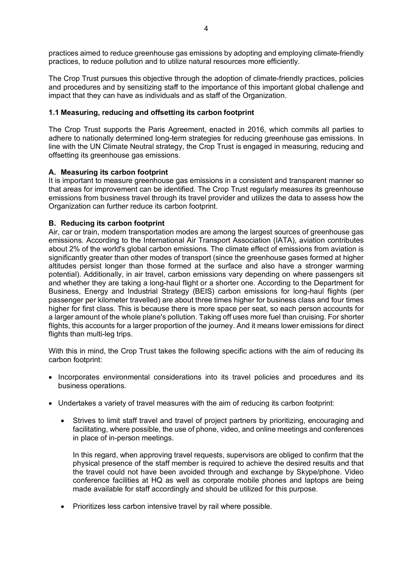practices aimed to reduce greenhouse gas emissions by adopting and employing climate-friendly practices, to reduce pollution and to utilize natural resources more efficiently.

The Crop Trust pursues this objective through the adoption of climate-friendly practices, policies and procedures and by sensitizing staff to the importance of this important global challenge and impact that they can have as individuals and as staff of the Organization.

# **1.1 Measuring, reducing and offsetting its carbon footprint**

The Crop Trust supports the Paris Agreement, enacted in 2016, which commits all parties to adhere to nationally determined long-term strategies for reducing greenhouse gas emissions. In line with the UN Climate Neutral strategy, the Crop Trust is engaged in measuring, reducing and offsetting its greenhouse gas emissions.

#### **A. Measuring its carbon footprint**

It is important to measure greenhouse gas emissions in a consistent and transparent manner so that areas for improvement can be identified. The Crop Trust regularly measures its greenhouse emissions from business travel through its travel provider and utilizes the data to assess how the Organization can further reduce its carbon footprint.

# **B. Reducing its carbon footprint**

Air, car or train, modern transportation modes are among the largest sources of greenhouse gas emissions. According to the International Air Transport Association (IATA), aviation contributes about 2% of the world's global carbon emissions. The climate effect of emissions from aviation is significantly greater than other modes of transport (since the greenhouse gases formed at higher altitudes persist longer than those formed at the surface and also have a stronger warming potential). Additionally, in air travel, carbon emissions vary depending on where passengers sit and whether they are taking a long-haul flight or a shorter one. According to the Department for Business, Energy and Industrial Strategy (BEIS) carbon emissions for long-haul flights (per passenger per kilometer travelled) are about three times higher for business class and four times higher for first class. This is because there is more space per seat, so each person accounts for a larger amount of the whole plane's pollution. Taking off uses more fuel than cruising. For shorter flights, this accounts for a larger proportion of the journey. And it means lower emissions for direct flights than multi-leg trips.

With this in mind, the Crop Trust takes the following specific actions with the aim of reducing its carbon footprint:

- Incorporates environmental considerations into its travel policies and procedures and its business operations.
- Undertakes a variety of travel measures with the aim of reducing its carbon footprint:
	- Strives to limit staff travel and travel of project partners by prioritizing, encouraging and facilitating, where possible, the use of phone, video, and online meetings and conferences in place of in-person meetings.

In this regard, when approving travel requests, supervisors are obliged to confirm that the physical presence of the staff member is required to achieve the desired results and that the travel could not have been avoided through and exchange by Skype/phone. Video conference facilities at HQ as well as corporate mobile phones and laptops are being made available for staff accordingly and should be utilized for this purpose.

• Prioritizes less carbon intensive travel by rail where possible.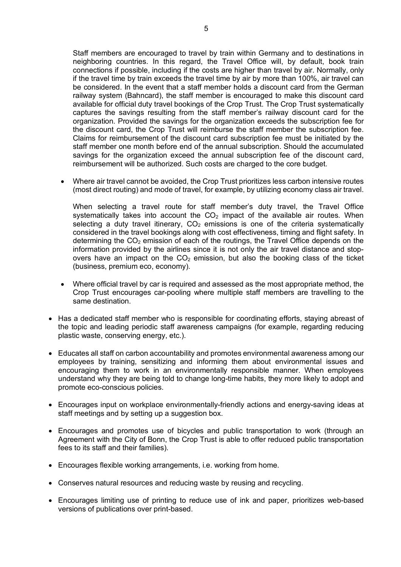Staff members are encouraged to travel by train within Germany and to destinations in neighboring countries. In this regard, the Travel Office will, by default, book train connections if possible, including if the costs are higher than travel by air. Normally, only if the travel time by train exceeds the travel time by air by more than 100%, air travel can be considered. In the event that a staff member holds a discount card from the German railway system (Bahncard), the staff member is encouraged to make this discount card available for official duty travel bookings of the Crop Trust. The Crop Trust systematically captures the savings resulting from the staff member's railway discount card for the organization. Provided the savings for the organization exceeds the subscription fee for the discount card, the Crop Trust will reimburse the staff member the subscription fee. Claims for reimbursement of the discount card subscription fee must be initiated by the staff member one month before end of the annual subscription. Should the accumulated savings for the organization exceed the annual subscription fee of the discount card, reimbursement will be authorized. Such costs are charged to the core budget.

• Where air travel cannot be avoided, the Crop Trust prioritizes less carbon intensive routes (most direct routing) and mode of travel, for example, by utilizing economy class air travel.

When selecting a travel route for staff member's duty travel, the Travel Office systematically takes into account the  $CO<sub>2</sub>$  impact of the available air routes. When selecting a duty travel itinerary,  $CO<sub>2</sub>$  emissions is one of the criteria systematically considered in the travel bookings along with cost effectiveness, timing and flight safety. In determining the  $CO<sub>2</sub>$  emission of each of the routings, the Travel Office depends on the information provided by the airlines since it is not only the air travel distance and stopovers have an impact on the  $CO<sub>2</sub>$  emission, but also the booking class of the ticket (business, premium eco, economy).

- Where official travel by car is required and assessed as the most appropriate method, the Crop Trust encourages car-pooling where multiple staff members are travelling to the same destination.
- Has a dedicated staff member who is responsible for coordinating efforts, staying abreast of the topic and leading periodic staff awareness campaigns (for example, regarding reducing plastic waste, conserving energy, etc.).
- Educates all staff on carbon accountability and promotes environmental awareness among our employees by training, sensitizing and informing them about environmental issues and encouraging them to work in an environmentally responsible manner. When employees understand why they are being told to change long-time habits, they more likely to adopt and promote eco-conscious policies.
- Encourages input on workplace environmentally-friendly actions and energy-saving ideas at staff meetings and by setting up a suggestion box.
- Encourages and promotes use of bicycles and public transportation to work (through an Agreement with the City of Bonn, the Crop Trust is able to offer reduced public transportation fees to its staff and their families).
- Encourages flexible working arrangements, i.e. working from home.
- Conserves natural resources and reducing waste by reusing and recycling.
- Encourages limiting use of printing to reduce use of ink and paper, prioritizes web-based versions of publications over print-based.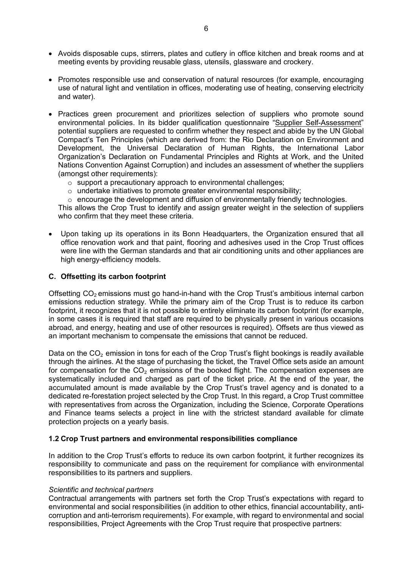- Avoids disposable cups, stirrers, plates and cutlery in office kitchen and break rooms and at meeting events by providing reusable glass, utensils, glassware and crockery.
- Promotes responsible use and conservation of natural resources (for example, encouraging use of natural light and ventilation in offices, moderating use of heating, conserving electricity and water).
- Practices green procurement and prioritizes selection of suppliers who promote sound environmental policies. In its bidder qualification questionnaire "Supplier Self-Assessment" potential suppliers are requested to confirm whether they respect and abide by the UN Global Compact's Ten Principles (which are derived from: the Rio Declaration on Environment and Development, the Universal Declaration of Human Rights, the International Labor Organization's Declaration on Fundamental Principles and Rights at Work, and the United Nations Convention Against Corruption) and includes an assessment of whether the suppliers (amongst other requirements):
	- o support a precautionary approach to environmental challenges;
	- o undertake initiatives to promote greater environmental responsibility;
	- $\circ$  encourage the development and diffusion of environmentally friendly technologies.

This allows the Crop Trust to identify and assign greater weight in the selection of suppliers who confirm that they meet these criteria.

• Upon taking up its operations in its Bonn Headquarters, the Organization ensured that all office renovation work and that paint, flooring and adhesives used in the Crop Trust offices were line with the German standards and that air conditioning units and other appliances are high energy-efficiency models.

#### **C. Offsetting its carbon footprint**

Offsetting  $CO<sub>2</sub>$  emissions must go hand-in-hand with the Crop Trust's ambitious internal carbon emissions reduction strategy. While the primary aim of the Crop Trust is to reduce its carbon footprint, it recognizes that it is not possible to entirely eliminate its carbon footprint (for example, in some cases it is required that staff are required to be physically present in various occasions abroad, and energy, heating and use of other resources is required). Offsets are thus viewed as an important mechanism to compensate the emissions that cannot be reduced.

Data on the CO<sub>2</sub> emission in tons for each of the Crop Trust's flight bookings is readily available through the airlines. At the stage of purchasing the ticket, the Travel Office sets aside an amount for compensation for the CO<sub>2</sub> emissions of the booked flight. The compensation expenses are systematically included and charged as part of the ticket price. At the end of the year, the accumulated amount is made available by the Crop Trust's travel agency and is donated to a dedicated re-forestation project selected by the Crop Trust. In this regard, a Crop Trust committee with representatives from across the Organization, including the Science, Corporate Operations and Finance teams selects a project in line with the strictest standard available for climate protection projects on a yearly basis.

#### **1.2 Crop Trust partners and environmental responsibilities compliance**

In addition to the Crop Trust's efforts to reduce its own carbon footprint, it further recognizes its responsibility to communicate and pass on the requirement for compliance with environmental responsibilities to its partners and suppliers.

#### *Scientific and technical partners*

Contractual arrangements with partners set forth the Crop Trust's expectations with regard to environmental and social responsibilities (in addition to other ethics, financial accountability, anticorruption and anti-terrorism requirements). For example, with regard to environmental and social responsibilities, Project Agreements with the Crop Trust require that prospective partners: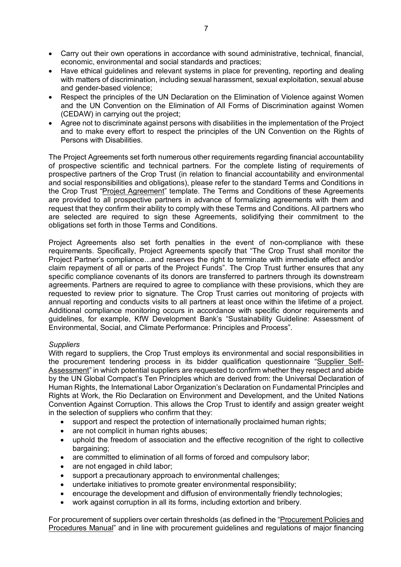- Carry out their own operations in accordance with sound administrative, technical, financial, economic, environmental and social standards and practices;
- Have ethical guidelines and relevant systems in place for preventing, reporting and dealing with matters of discrimination, including sexual harassment, sexual exploitation, sexual abuse and gender-based violence;
- Respect the principles of the UN Declaration on the Elimination of Violence against Women and the UN Convention on the Elimination of All Forms of Discrimination against Women (CEDAW) in carrying out the project;
- Agree not to discriminate against persons with disabilities in the implementation of the Project and to make every effort to respect the principles of the UN Convention on the Rights of Persons with Disabilities.

The Project Agreements set forth numerous other requirements regarding financial accountability of prospective scientific and technical partners. For the complete listing of requirements of prospective partners of the Crop Trust (in relation to financial accountability and environmental and social responsibilities and obligations), please refer to the standard Terms and Conditions in the Crop Trust "Project Agreement" template. The Terms and Conditions of these Agreements are provided to all prospective partners in advance of formalizing agreements with them and request that they confirm their ability to comply with these Terms and Conditions. All partners who are selected are required to sign these Agreements, solidifying their commitment to the obligations set forth in those Terms and Conditions.

Project Agreements also set forth penalties in the event of non-compliance with these requirements. Specifically, Project Agreements specify that "The Crop Trust shall monitor the Project Partner's compliance…and reserves the right to terminate with immediate effect and/or claim repayment of all or parts of the Project Funds". The Crop Trust further ensures that any specific compliance covenants of its donors are transferred to partners through its downstream agreements. Partners are required to agree to compliance with these provisions, which they are requested to review prior to signature. The Crop Trust carries out monitoring of projects with annual reporting and conducts visits to all partners at least once within the lifetime of a project. Additional compliance monitoring occurs in accordance with specific donor requirements and guidelines, for example, KfW Development Bank's "Sustainability Guideline: Assessment of Environmental, Social, and Climate Performance: Principles and Process".

#### *Suppliers*

With regard to suppliers, the Crop Trust employs its environmental and social responsibilities in the procurement tendering process in its bidder qualification questionnaire "Supplier Self-Assessment" in which potential suppliers are requested to confirm whether they respect and abide by the UN Global Compact's Ten Principles which are derived from: the Universal Declaration of Human Rights, the International Labor Organization's Declaration on Fundamental Principles and Rights at Work, the Rio Declaration on Environment and Development, and the United Nations Convention Against Corruption. This allows the Crop Trust to identify and assign greater weight in the selection of suppliers who confirm that they:

- support and respect the protection of internationally proclaimed human rights;
- are not complicit in human rights abuses;
- uphold the freedom of association and the effective recognition of the right to collective bargaining;
- are committed to elimination of all forms of forced and compulsory labor;
- are not engaged in child labor;
- support a precautionary approach to environmental challenges;
- undertake initiatives to promote greater environmental responsibility;
- encourage the development and diffusion of environmentally friendly technologies;
- work against corruption in all its forms, including extortion and bribery.

For procurement of suppliers over certain thresholds (as defined in the "Procurement Policies and Procedures Manual" and in line with procurement guidelines and regulations of major financing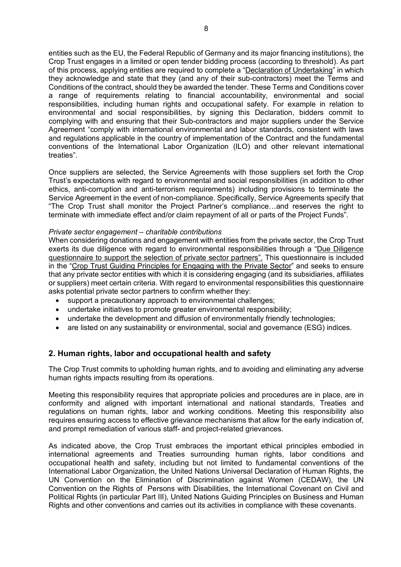entities such as the EU, the Federal Republic of Germany and its major financing institutions), the Crop Trust engages in a limited or open tender bidding process (according to threshold). As part of this process, applying entities are required to complete a "Declaration of Undertaking" in which they acknowledge and state that they (and any of their sub-contractors) meet the Terms and Conditions of the contract, should they be awarded the tender. These Terms and Conditions cover a range of requirements relating to financial accountability, environmental and social responsibilities, including human rights and occupational safety. For example in relation to environmental and social responsibilities, by signing this Declaration, bidders commit to complying with and ensuring that their Sub-contractors and major suppliers under the Service Agreement "comply with international environmental and labor standards, consistent with laws and regulations applicable in the country of implementation of the Contract and the fundamental conventions of the International Labor Organization (ILO) and other relevant international treaties".

Once suppliers are selected, the Service Agreements with those suppliers set forth the Crop Trust's expectations with regard to environmental and social responsibilities (in addition to other ethics, anti-corruption and anti-terrorism requirements) including provisions to terminate the Service Agreement in the event of non-compliance. Specifically, Service Agreements specify that "The Crop Trust shall monitor the Project Partner's compliance…and reserves the right to terminate with immediate effect and/or claim repayment of all or parts of the Project Funds".

#### *Private sector engagement – charitable contributions*

When considering donations and engagement with entities from the private sector, the Crop Trust exerts its due diligence with regard to environmental responsibilities through a "Due Diligence questionnaire to support the selection of private sector partners". This questionnaire is included in the "Crop Trust Guiding Principles for Engaging with the Private Sector" and seeks to ensure that any private sector entities with which it is considering engaging (and its subsidiaries, affiliates or suppliers) meet certain criteria. With regard to environmental responsibilities this questionnaire asks potential private sector partners to confirm whether they:

- support a precautionary approach to environmental challenges;
- undertake initiatives to promote greater environmental responsibility;
- undertake the development and diffusion of environmentally friendly technologies;
- are listed on any sustainability or environmental, social and governance (ESG) indices.

# **2. Human rights, labor and occupational health and safety**

The Crop Trust commits to upholding human rights, and to avoiding and eliminating any adverse human rights impacts resulting from its operations.

Meeting this responsibility requires that appropriate policies and procedures are in place, are in conformity and aligned with important international and national standards, Treaties and regulations on human rights, labor and working conditions. Meeting this responsibility also requires ensuring access to effective grievance mechanisms that allow for the early indication of, and prompt remediation of various staff- and project-related grievances.

As indicated above, the Crop Trust embraces the important ethical principles embodied in international agreements and Treaties surrounding human rights, labor conditions and occupational health and safety, including but not limited to fundamental conventions of the International Labor Organization, the United Nations Universal Declaration of Human Rights, the UN Convention on the Elimination of Discrimination against Women (CEDAW), the UN Convention on the Rights of Persons with Disabilities, the International Covenant on Civil and Political Rights (in particular Part III), United Nations Guiding Principles on Business and Human Rights and other conventions and carries out its activities in compliance with these covenants.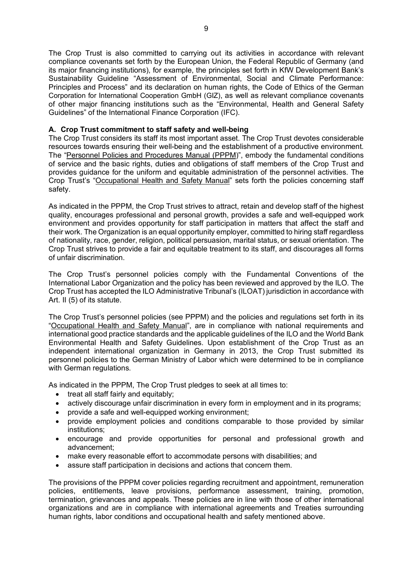The Crop Trust is also committed to carrying out its activities in accordance with relevant compliance covenants set forth by the European Union, the Federal Republic of Germany (and its major financing institutions), for example, the principles set forth in KfW Development Bank's Sustainability Guideline "Assessment of Environmental, Social and Climate Performance: Principles and Process" and its declaration on human rights, the Code of Ethics of the German Corporation for International Cooperation GmbH (GIZ), as well as relevant compliance covenants of other major financing institutions such as the "Environmental, Health and General Safety Guidelines" of the International Finance Corporation (IFC).

# **A. Crop Trust commitment to staff safety and well-being**

The Crop Trust considers its staff its most important asset. The Crop Trust devotes considerable resources towards ensuring their well-being and the establishment of a productive environment. The "Personnel Policies and Procedures Manual (PPPM)", embody the fundamental conditions of service and the basic rights, duties and obligations of staff members of the Crop Trust and provides guidance for the uniform and equitable administration of the personnel activities. The Crop Trust's "Occupational Health and Safety Manual" sets forth the policies concerning staff safety.

As indicated in the PPPM, the Crop Trust strives to attract, retain and develop staff of the highest quality, encourages professional and personal growth, provides a safe and well-equipped work environment and provides opportunity for staff participation in matters that affect the staff and their work. The Organization is an equal opportunity employer, committed to hiring staff regardless of nationality, race, gender, religion, political persuasion, marital status, or sexual orientation. The Crop Trust strives to provide a fair and equitable treatment to its staff, and discourages all forms of unfair discrimination.

The Crop Trust's personnel policies comply with the Fundamental Conventions of the International Labor Organization and the policy has been reviewed and approved by the ILO. The Crop Trust has accepted the ILO Administrative Tribunal's (ILOAT) jurisdiction in accordance with Art. II (5) of its statute.

The Crop Trust's personnel policies (see PPPM) and the policies and regulations set forth in its "Occupational Health and Safety Manual", are in compliance with national requirements and international good practice standards and the applicable guidelines of the ILO and the World Bank Environmental Health and Safety Guidelines. Upon establishment of the Crop Trust as an independent international organization in Germany in 2013, the Crop Trust submitted its personnel policies to the German Ministry of Labor which were determined to be in compliance with German regulations.

As indicated in the PPPM, The Crop Trust pledges to seek at all times to:

- treat all staff fairly and equitably;
- actively discourage unfair discrimination in every form in employment and in its programs;
- provide a safe and well-equipped working environment;
- provide employment policies and conditions comparable to those provided by similar institutions;
- encourage and provide opportunities for personal and professional growth and advancement;
- make every reasonable effort to accommodate persons with disabilities; and
- assure staff participation in decisions and actions that concern them.

The provisions of the PPPM cover policies regarding recruitment and appointment, remuneration policies, entitlements, leave provisions, performance assessment, training, promotion, termination, grievances and appeals. These policies are in line with those of other international organizations and are in compliance with international agreements and Treaties surrounding human rights, labor conditions and occupational health and safety mentioned above.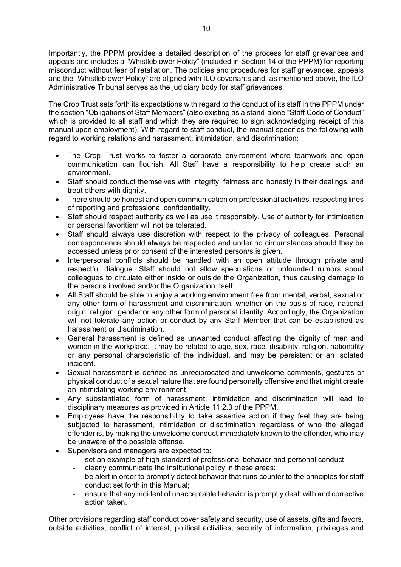Importantly, the PPPM provides a detailed description of the process for staff grievances and appeals and includes a "Whistleblower Policy" (included in Section 14 of the PPPM) for reporting misconduct without fear of retaliation. The policies and procedures for staff grievances, appeals and the "Whistleblower Policy" are aligned with ILO covenants and, as mentioned above, the ILO Administrative Tribunal serves as the judiciary body for staff grievances.

The Crop Trust sets forth its expectations with regard to the conduct of its staff in the PPPM under the section "Obligations of Staff Members" (also existing as a stand-alone "Staff Code of Conduct" which is provided to all staff and which they are required to sign acknowledging receipt of this manual upon employment). With regard to staff conduct, the manual specifies the following with regard to working relations and harassment, intimidation, and discrimination:

- The Crop Trust works to foster a corporate environment where teamwork and open communication can flourish. All Staff have a responsibility to help create such an environment.
- Staff should conduct themselves with integrity, fairness and honesty in their dealings, and treat others with dignity.
- There should be honest and open communication on professional activities, respecting lines of reporting and professional confidentiality.
- Staff should respect authority as well as use it responsibly. Use of authority for intimidation or personal favoritism will not be tolerated.
- Staff should always use discretion with respect to the privacy of colleagues. Personal correspondence should always be respected and under no circumstances should they be accessed unless prior consent of the interested person/s is given.
- Interpersonal conflicts should be handled with an open attitude through private and respectful dialogue. Staff should not allow speculations or unfounded rumors about colleagues to circulate either inside or outside the Organization, thus causing damage to the persons involved and/or the Organization itself.
- All Staff should be able to enjoy a working environment free from mental, verbal, sexual or any other form of harassment and discrimination, whether on the basis of race, national origin, religion, gender or any other form of personal identity. Accordingly, the Organization will not tolerate any action or conduct by any Staff Member that can be established as harassment or discrimination.
- General harassment is defined as unwanted conduct affecting the dignity of men and women in the workplace. It may be related to age, sex, race, disability, religion, nationality or any personal characteristic of the individual, and may be persistent or an isolated incident.
- Sexual harassment is defined as unreciprocated and unwelcome comments, gestures or physical conduct of a sexual nature that are found personally offensive and that might create an intimidating working environment.
- Any substantiated form of harassment, intimidation and discrimination will lead to disciplinary measures as provided in Article 11.2.3 of the PPPM.
- Employees have the responsibility to take assertive action if they feel they are being subjected to harassment, intimidation or discrimination regardless of who the alleged offender is, by making the unwelcome conduct immediately known to the offender, who may be unaware of the possible offense.
- Supervisors and managers are expected to:
	- set an example of high standard of professional behavior and personal conduct;
	- clearly communicate the institutional policy in these areas;
	- be alert in order to promptly detect behavior that runs counter to the principles for staff conduct set forth in this Manual;
	- ensure that any incident of unacceptable behavior is promptly dealt with and corrective action taken.

Other provisions regarding staff conduct cover safety and security, use of assets, gifts and favors, outside activities, conflict of interest, political activities, security of information, privileges and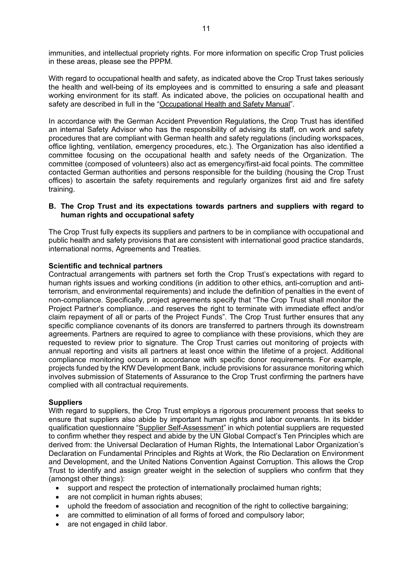immunities, and intellectual propriety rights. For more information on specific Crop Trust policies in these areas, please see the PPPM.

With regard to occupational health and safety, as indicated above the Crop Trust takes seriously the health and well-being of its employees and is committed to ensuring a safe and pleasant working environment for its staff. As indicated above, the policies on occupational health and safety are described in full in the "Occupational Health and Safety Manual".

In accordance with the German Accident Prevention Regulations, the Crop Trust has identified an internal Safety Advisor who has the responsibility of advising its staff, on work and safety procedures that are compliant with German health and safety regulations (including workspaces, office lighting, ventilation, emergency procedures, etc.). The Organization has also identified a committee focusing on the occupational health and safety needs of the Organization. The committee (composed of volunteers) also act as emergency/first-aid focal points. The committee contacted German authorities and persons responsible for the building (housing the Crop Trust offices) to ascertain the safety requirements and regularly organizes first aid and fire safety training.

# **B. The Crop Trust and its expectations towards partners and suppliers with regard to human rights and occupational safety**

The Crop Trust fully expects its suppliers and partners to be in compliance with occupational and public health and safety provisions that are consistent with international good practice standards, international norms, Agreements and Treaties.

# **Scientific and technical partners**

Contractual arrangements with partners set forth the Crop Trust's expectations with regard to human rights issues and working conditions (in addition to other ethics, anti-corruption and antiterrorism, and environmental requirements) and include the definition of penalties in the event of non-compliance. Specifically, project agreements specify that "The Crop Trust shall monitor the Project Partner's compliance…and reserves the right to terminate with immediate effect and/or claim repayment of all or parts of the Project Funds". The Crop Trust further ensures that any specific compliance covenants of its donors are transferred to partners through its downstream agreements. Partners are required to agree to compliance with these provisions, which they are requested to review prior to signature. The Crop Trust carries out monitoring of projects with annual reporting and visits all partners at least once within the lifetime of a project. Additional compliance monitoring occurs in accordance with specific donor requirements. For example, projects funded by the KfW Development Bank, include provisions for assurance monitoring which involves submission of Statements of Assurance to the Crop Trust confirming the partners have complied with all contractual requirements.

# **Suppliers**

With regard to suppliers, the Crop Trust employs a rigorous procurement process that seeks to ensure that suppliers also abide by important human rights and labor covenants. In its bidder qualification questionnaire "Supplier Self-Assessment" in which potential suppliers are requested to confirm whether they respect and abide by the UN Global Compact's Ten Principles which are derived from: the Universal Declaration of Human Rights, the International Labor Organization's Declaration on Fundamental Principles and Rights at Work, the Rio Declaration on Environment and Development, and the United Nations Convention Against Corruption. This allows the Crop Trust to identify and assign greater weight in the selection of suppliers who confirm that they (amongst other things):

- support and respect the protection of internationally proclaimed human rights;
- are not complicit in human rights abuses;
- uphold the freedom of association and recognition of the right to collective bargaining;
- are committed to elimination of all forms of forced and compulsory labor;
- are not engaged in child labor.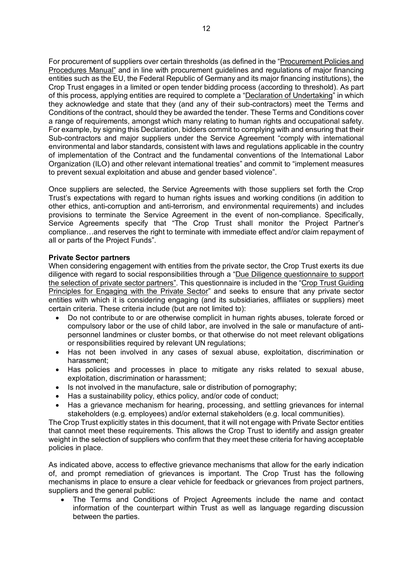For procurement of suppliers over certain thresholds (as defined in the "Procurement Policies and Procedures Manual" and in line with procurement guidelines and regulations of major financing entities such as the EU, the Federal Republic of Germany and its major financing institutions), the Crop Trust engages in a limited or open tender bidding process (according to threshold). As part of this process, applying entities are required to complete a "Declaration of Undertaking" in which they acknowledge and state that they (and any of their sub-contractors) meet the Terms and Conditions of the contract, should they be awarded the tender. These Terms and Conditions cover a range of requirements, amongst which many relating to human rights and occupational safety. For example, by signing this Declaration, bidders commit to complying with and ensuring that their Sub-contractors and major suppliers under the Service Agreement "comply with international environmental and labor standards, consistent with laws and regulations applicable in the country of implementation of the Contract and the fundamental conventions of the International Labor Organization (ILO) and other relevant international treaties" and commit to "implement measures to prevent sexual exploitation and abuse and gender based violence".

Once suppliers are selected, the Service Agreements with those suppliers set forth the Crop Trust's expectations with regard to human rights issues and working conditions (in addition to other ethics, anti-corruption and anti-terrorism, and environmental requirements) and includes provisions to terminate the Service Agreement in the event of non-compliance. Specifically, Service Agreements specify that "The Crop Trust shall monitor the Project Partner's compliance…and reserves the right to terminate with immediate effect and/or claim repayment of all or parts of the Project Funds".

#### **Private Sector partners**

When considering engagement with entities from the private sector, the Crop Trust exerts its due diligence with regard to social responsibilities through a "Due Diligence questionnaire to support the selection of private sector partners". This questionnaire is included in the "Crop Trust Guiding Principles for Engaging with the Private Sector" and seeks to ensure that any private sector entities with which it is considering engaging (and its subsidiaries, affiliates or suppliers) meet certain criteria. These criteria include (but are not limited to):

- Do not contribute to or are otherwise complicit in human rights abuses, tolerate forced or compulsory labor or the use of child labor, are involved in the sale or manufacture of antipersonnel landmines or cluster bombs, or that otherwise do not meet relevant obligations or responsibilities required by relevant UN regulations;
- Has not been involved in any cases of sexual abuse, exploitation, discrimination or harassment;
- Has policies and processes in place to mitigate any risks related to sexual abuse, exploitation, discrimination or harassment;
- Is not involved in the manufacture, sale or distribution of pornography;
- Has a sustainability policy, ethics policy, and/or code of conduct;
- Has a grievance mechanism for hearing, processing, and settling grievances for internal stakeholders (e.g. employees) and/or external stakeholders (e.g. local communities).

The Crop Trust explicitly states in this document, that it will not engage with Private Sector entities that cannot meet these requirements. This allows the Crop Trust to identify and assign greater weight in the selection of suppliers who confirm that they meet these criteria for having acceptable policies in place.

As indicated above, access to effective grievance mechanisms that allow for the early indication of, and prompt remediation of grievances is important. The Crop Trust has the following mechanisms in place to ensure a clear vehicle for feedback or grievances from project partners, suppliers and the general public:

• The Terms and Conditions of Project Agreements include the name and contact information of the counterpart within Trust as well as language regarding discussion between the parties.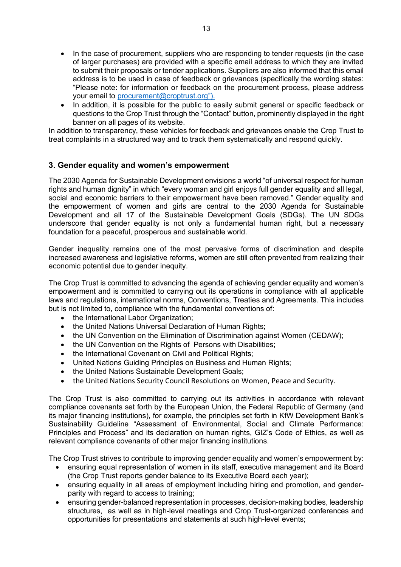- In the case of procurement, suppliers who are responding to tender requests (in the case of larger purchases) are provided with a specific email address to which they are invited to submit their proposals or tender applications. Suppliers are also informed that this email address is to be used in case of feedback or grievances (specifically the wording states: "Please note: for information or feedback on the procurement process, please address your email to procurement@croptrust.org").
- In addition, it is possible for the public to easily submit general or specific feedback or questions to the Crop Trust through the "Contact" button, prominently displayed in the right banner on all pages of its website.

In addition to transparency, these vehicles for feedback and grievances enable the Crop Trust to treat complaints in a structured way and to track them systematically and respond quickly.

# **3. Gender equality and women's empowerment**

The 2030 Agenda for Sustainable Development envisions a world "of universal respect for human rights and human dignity" in which "every woman and girl enjoys full gender equality and all legal, social and economic barriers to their empowerment have been removed." Gender equality and the empowerment of women and girls are central to the 2030 Agenda for Sustainable Development and all 17 of the Sustainable Development Goals (SDGs). The UN SDGs underscore that gender equality is not only a fundamental human right, but a necessary foundation for a peaceful, prosperous and sustainable world.

Gender inequality remains one of the most pervasive forms of discrimination and despite increased awareness and legislative reforms, women are still often prevented from realizing their economic potential due to gender inequity.

The Crop Trust is committed to advancing the agenda of achieving gender equality and women's empowerment and is committed to carrying out its operations in compliance with all applicable laws and regulations, international norms, Conventions, Treaties and Agreements. This includes but is not limited to, compliance with the fundamental conventions of:

- the International Labor Organization;
- the United Nations Universal Declaration of Human Rights;
- the UN Convention on the Elimination of Discrimination against Women (CEDAW);
- the UN Convention on the Rights of Persons with Disabilities;
- the International Covenant on Civil and Political Rights;
- United Nations Guiding Principles on Business and Human Rights;
- the United Nations Sustainable Development Goals;
- the United Nations Security Council Resolutions on Women, Peace and Security.

The Crop Trust is also committed to carrying out its activities in accordance with relevant compliance covenants set forth by the European Union, the Federal Republic of Germany (and its major financing institutions), for example, the principles set forth in KfW Development Bank's Sustainability Guideline "Assessment of Environmental, Social and Climate Performance: Principles and Process" and its declaration on human rights, GIZ's Code of Ethics, as well as relevant compliance covenants of other major financing institutions.

The Crop Trust strives to contribute to improving gender equality and women's empowerment by:

- ensuring equal representation of women in its staff, executive management and its Board (the Crop Trust reports gender balance to its Executive Board each year);
- ensuring equality in all areas of employment including hiring and promotion, and genderparity with regard to access to training;
- ensuring gender-balanced representation in processes, decision-making bodies, leadership structures, as well as in high-level meetings and Crop Trust-organized conferences and opportunities for presentations and statements at such high-level events;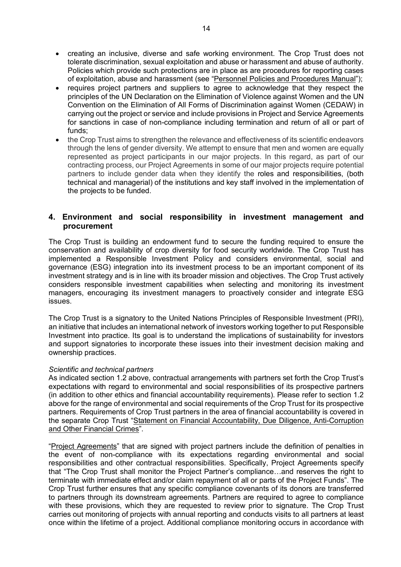- creating an inclusive, diverse and safe working environment. The Crop Trust does not tolerate discrimination, sexual exploitation and abuse or harassment and abuse of authority. Policies which provide such protections are in place as are procedures for reporting cases of exploitation, abuse and harassment (see "Personnel Policies and Procedures Manual");
- requires project partners and suppliers to agree to acknowledge that they respect the principles of the UN Declaration on the Elimination of Violence against Women and the UN Convention on the Elimination of All Forms of Discrimination against Women (CEDAW) in carrying out the project or service and include provisions in Project and Service Agreements for sanctions in case of non-compliance including termination and return of all or part of funds;
- the Crop Trust aims to strengthen the relevance and effectiveness of its scientific endeavors through the lens of gender diversity. We attempt to ensure that men and women are equally represented as project participants in our major projects. In this regard, as part of our contracting process, our Project Agreements in some of our major projects require potential partners to include gender data when they identify the roles and responsibilities, (both technical and managerial) of the institutions and key staff involved in the implementation of the projects to be funded.

# **4. Environment and social responsibility in investment management and procurement**

The Crop Trust is building an endowment fund to secure the funding required to ensure the conservation and availability of crop diversity for food security worldwide. The Crop Trust has implemented a Responsible Investment Policy and considers environmental, social and governance (ESG) integration into its investment process to be an important component of its investment strategy and is in line with its broader mission and objectives. The Crop Trust actively considers responsible investment capabilities when selecting and monitoring its investment managers, encouraging its investment managers to proactively consider and integrate ESG issues.

The Crop Trust is a signatory to the United Nations Principles of Responsible Investment (PRI), an initiative that includes an international network of investors working together to put Responsible Investment into practice. Its goal is to understand the implications of sustainability for investors and support signatories to incorporate these issues into their investment decision making and ownership practices.

#### *Scientific and technical partners*

As indicated section 1.2 above, contractual arrangements with partners set forth the Crop Trust's expectations with regard to environmental and social responsibilities of its prospective partners (in addition to other ethics and financial accountability requirements). Please refer to section 1.2 above for the range of environmental and social requirements of the Crop Trust for its prospective partners. Requirements of Crop Trust partners in the area of financial accountability is covered in the separate Crop Trust "Statement on Financial Accountability, Due Diligence, Anti-Corruption and Other Financial Crimes".

"Project Agreements" that are signed with project partners include the definition of penalties in the event of non-compliance with its expectations regarding environmental and social responsibilities and other contractual responsibilities. Specifically, Project Agreements specify that "The Crop Trust shall monitor the Project Partner's compliance…and reserves the right to terminate with immediate effect and/or claim repayment of all or parts of the Project Funds". The Crop Trust further ensures that any specific compliance covenants of its donors are transferred to partners through its downstream agreements. Partners are required to agree to compliance with these provisions, which they are requested to review prior to signature. The Crop Trust carries out monitoring of projects with annual reporting and conducts visits to all partners at least once within the lifetime of a project. Additional compliance monitoring occurs in accordance with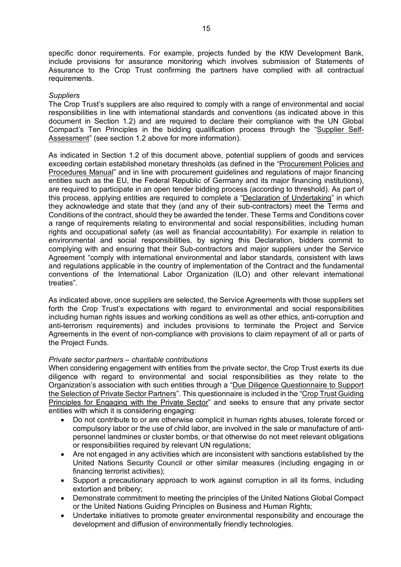specific donor requirements. For example, projects funded by the KfW Development Bank, include provisions for assurance monitoring which involves submission of Statements of Assurance to the Crop Trust confirming the partners have complied with all contractual requirements.

#### *Suppliers*

The Crop Trust's suppliers are also required to comply with a range of environmental and social responsibilities in line with international standards and conventions (as indicated above in this document in Section 1.2) and are required to declare their compliance with the UN Global Compact's Ten Principles in the bidding qualification process through the "Supplier Self-Assessment" (see section 1.2 above for more information).

As indicated in Section 1.2 of this document above, potential suppliers of goods and services exceeding certain established monetary thresholds (as defined in the "Procurement Policies and Procedures Manual" and in line with procurement guidelines and regulations of major financing entities such as the EU, the Federal Republic of Germany and its major financing institutions), are required to participate in an open tender bidding process (according to threshold). As part of this process, applying entities are required to complete a "Declaration of Undertaking" in which they acknowledge and state that they (and any of their sub-contractors) meet the Terms and Conditions of the contract, should they be awarded the tender. These Terms and Conditions cover a range of requirements relating to environmental and social responsibilities, including human rights and occupational safety (as well as financial accountability). For example in relation to environmental and social responsibilities, by signing this Declaration, bidders commit to complying with and ensuring that their Sub-contractors and major suppliers under the Service Agreement "comply with international environmental and labor standards, consistent with laws and regulations applicable in the country of implementation of the Contract and the fundamental conventions of the International Labor Organization (ILO) and other relevant international treaties".

As indicated above, once suppliers are selected, the Service Agreements with those suppliers set forth the Crop Trust's expectations with regard to environmental and social responsibilities including human rights issues and working conditions as well as other ethics, anti-corruption and anti-terrorism requirements) and includes provisions to terminate the Project and Service Agreements in the event of non-compliance with provisions to claim repayment of all or parts of the Project Funds.

#### *Private sector partners – charitable contributions*

When considering engagement with entities from the private sector, the Crop Trust exerts its due diligence with regard to environmental and social responsibilities as they relate to the Organization's association with such entities through a "Due Diligence Questionnaire to Support the Selection of Private Sector Partners". This questionnaire is included in the "Crop Trust Guiding Principles for Engaging with the Private Sector" and seeks to ensure that any private sector entities with which it is considering engaging:

- Do not contribute to or are otherwise complicit in human rights abuses, tolerate forced or compulsory labor or the use of child labor, are involved in the sale or manufacture of antipersonnel landmines or cluster bombs, or that otherwise do not meet relevant obligations or responsibilities required by relevant UN regulations;
- Are not engaged in any activities which are inconsistent with sanctions established by the United Nations Security Council or other similar measures (including engaging in or financing terrorist activities);
- Support a precautionary approach to work against corruption in all its forms, including extortion and bribery;
- Demonstrate commitment to meeting the principles of the United Nations Global Compact or the United Nations Guiding Principles on Business and Human Rights;
- Undertake initiatives to promote greater environmental responsibility and encourage the development and diffusion of environmentally friendly technologies.